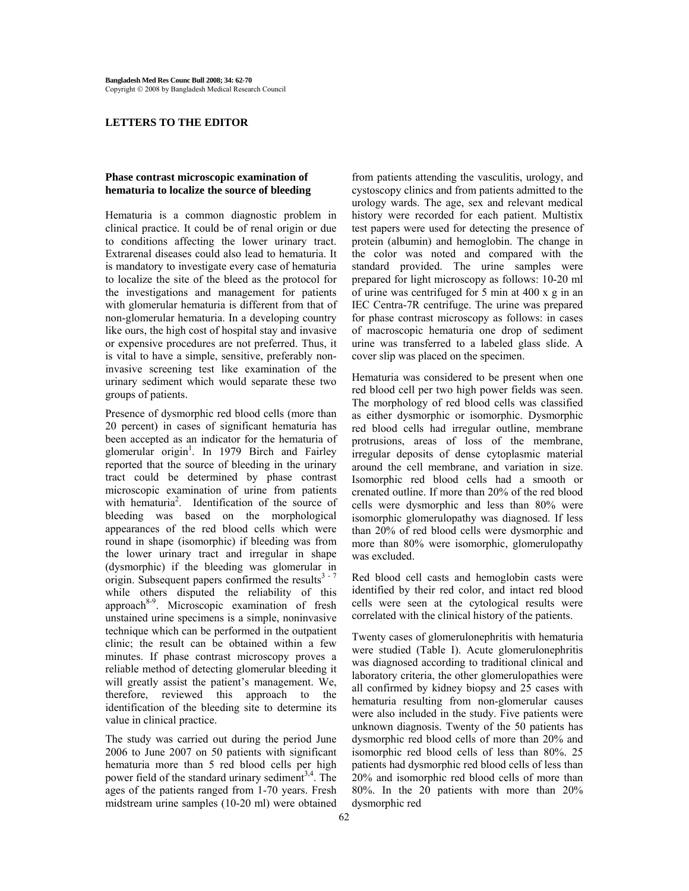### **LETTERS TO THE EDITOR**

# **Phase contrast microscopic examination of hematuria to localize the source of bleeding**

Hematuria is a common diagnostic problem in clinical practice. It could be of renal origin or due to conditions affecting the lower urinary tract. Extrarenal diseases could also lead to hematuria. It is mandatory to investigate every case of hematuria to localize the site of the bleed as the protocol for the investigations and management for patients with glomerular hematuria is different from that of non-glomerular hematuria. In a developing country like ours, the high cost of hospital stay and invasive or expensive procedures are not preferred. Thus, it is vital to have a simple, sensitive, preferably noninvasive screening test like examination of the urinary sediment which would separate these two groups of patients.

Presence of dysmorphic red blood cells (more than 20 percent) in cases of significant hematuria has been accepted as an indicator for the hematuria of glomerular origin<sup>1</sup>. In 1979 Birch and Fairley reported that the source of bleeding in the urinary tract could be determined by phase contrast microscopic examination of urine from patients with hematuria<sup>2</sup>. Identification of the source of bleeding was based on the morphological appearances of the red blood cells which were round in shape (isomorphic) if bleeding was from the lower urinary tract and irregular in shape (dysmorphic) if the bleeding was glomerular in origin. Subsequent papers confirmed the results<sup>3 - 7</sup> while others disputed the reliability of this approach<sup>8-9</sup>. Microscopic examination of fresh unstained urine specimens is a simple, noninvasive technique which can be performed in the outpatient clinic; the result can be obtained within a few minutes. If phase contrast microscopy proves a reliable method of detecting glomerular bleeding it will greatly assist the patient's management. We, therefore, reviewed this approach to the identification of the bleeding site to determine its value in clinical practice.

The study was carried out during the period June 2006 to June 2007 on 50 patients with significant hematuria more than 5 red blood cells per high power field of the standard urinary sediment<sup>3,4</sup>. The ages of the patients ranged from 1-70 years. Fresh midstream urine samples (10-20 ml) were obtained from patients attending the vasculitis, urology, and cystoscopy clinics and from patients admitted to the urology wards. The age, sex and relevant medical history were recorded for each patient. Multistix test papers were used for detecting the presence of protein (albumin) and hemoglobin. The change in the color was noted and compared with the standard provided. The urine samples were prepared for light microscopy as follows: 10-20 ml of urine was centrifuged for 5 min at 400 x g in an IEC Centra-7R centrifuge. The urine was prepared for phase contrast microscopy as follows: in cases of macroscopic hematuria one drop of sediment urine was transferred to a labeled glass slide. A cover slip was placed on the specimen.

Hematuria was considered to be present when one red blood cell per two high power fields was seen. The morphology of red blood cells was classified as either dysmorphic or isomorphic. Dysmorphic red blood cells had irregular outline, membrane protrusions, areas of loss of the membrane, irregular deposits of dense cytoplasmic material around the cell membrane, and variation in size. Isomorphic red blood cells had a smooth or crenated outline. If more than 20% of the red blood cells were dysmorphic and less than 80% were isomorphic glomerulopathy was diagnosed. If less than 20% of red blood cells were dysmorphic and more than 80% were isomorphic, glomerulopathy was excluded.

Red blood cell casts and hemoglobin casts were identified by their red color, and intact red blood cells were seen at the cytological results were correlated with the clinical history of the patients.

Twenty cases of glomerulonephritis with hematuria were studied (Table I). Acute glomerulonephritis was diagnosed according to traditional clinical and laboratory criteria, the other glomerulopathies were all confirmed by kidney biopsy and 25 cases with hematuria resulting from non-glomerular causes were also included in the study. Five patients were unknown diagnosis. Twenty of the 50 patients has dysmorphic red blood cells of more than 20% and isomorphic red blood cells of less than 80%. 25 patients had dysmorphic red blood cells of less than 20% and isomorphic red blood cells of more than 80%. In the 20 patients with more than 20% dysmorphic red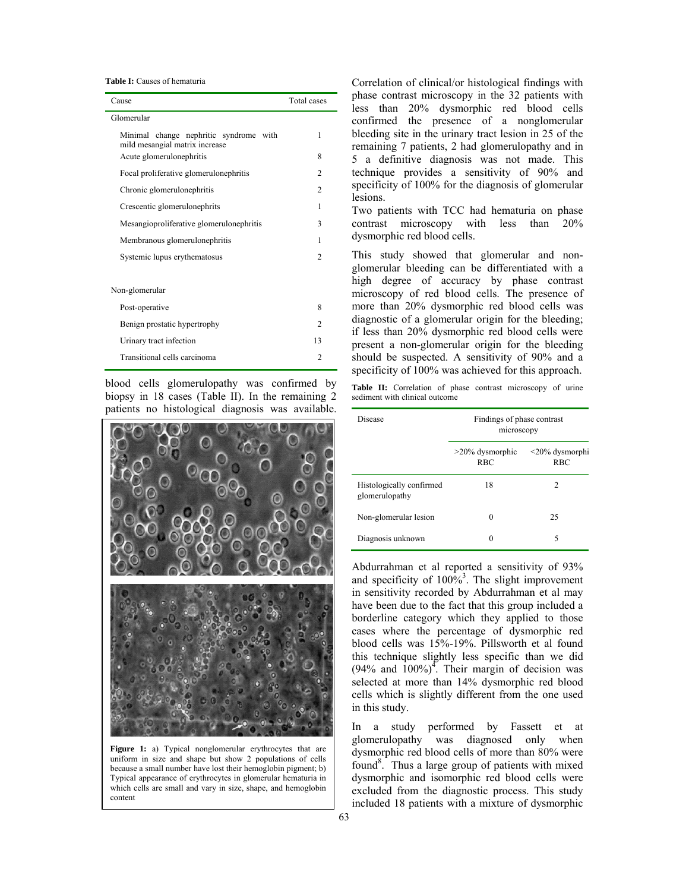**Table I:** Causes of hematuria

| Cause                                                                       | Total cases    |
|-----------------------------------------------------------------------------|----------------|
| Glomerular                                                                  |                |
| Minimal change nephritic syndrome<br>with<br>mild mesangial matrix increase | 1              |
| Acute glomerulonephritis                                                    | 8              |
| Focal proliferative glomerulonephritis                                      | $\overline{c}$ |
| Chronic glomerulonephritis                                                  | 2              |
| Crescentic glomerulonephrits                                                | 1              |
| Mesangioproliferative glomerulonephritis                                    | 3              |
| Membranous glomerulonephritis                                               | 1              |
| Systemic lupus erythematosus                                                | $\mathfrak{D}$ |
|                                                                             |                |
| Non-glomerular                                                              |                |
| Post-operative                                                              | 8              |
| Benign prostatic hypertrophy                                                | $\mathfrak{D}$ |
| Urinary tract infection                                                     | 13             |
| Transitional cells carcinoma                                                | $\overline{c}$ |

blood cells glomerulopathy was confirmed by biopsy in 18 cases (Table II). In the remaining 2 patients no histological diagnosis was available.



Figure 1: a) Typical nonglomerular erythrocytes that are uniform in size and shape but show 2 populations of cells because a small number have lost their hemoglobin pigment; b) Typical appearance of erythrocytes in glomerular hematuria in which cells are small and vary in size, shape, and hemoglobin content

Correlation of clinical/or histological findings with phase contrast microscopy in the 32 patients with less than 20% dysmorphic red blood cells confirmed the presence of a nonglomerular bleeding site in the urinary tract lesion in 25 of the remaining 7 patients, 2 had glomerulopathy and in 5 a definitive diagnosis was not made. This technique provides a sensitivity of 90% and specificity of 100% for the diagnosis of glomerular lesions.

Two patients with TCC had hematuria on phase contrast microscopy with less than 20% dysmorphic red blood cells.

This study showed that glomerular and nonglomerular bleeding can be differentiated with a high degree of accuracy by phase contrast microscopy of red blood cells. The presence of more than 20% dysmorphic red blood cells was diagnostic of a glomerular origin for the bleeding; if less than 20% dysmorphic red blood cells were present a non-glomerular origin for the bleeding should be suspected. A sensitivity of 90% and a specificity of 100% was achieved for this approach.

Table II: Correlation of phase contrast microscopy of urine sediment with clinical outcome

| Disease                                    | Findings of phase contrast<br>microscopy |                                    |
|--------------------------------------------|------------------------------------------|------------------------------------|
|                                            | $>20\%$ dysmorphic<br><b>RBC</b>         | $\leq$ 20% dysmorphi<br><b>RBC</b> |
| Histologically confirmed<br>glomerulopathy | 18                                       | 2                                  |
| Non-glomerular lesion                      | 0                                        | 25                                 |
| Diagnosis unknown                          | 0                                        | 5                                  |

Abdurrahman et al reported a sensitivity of 93% and specificity of  $100\%$ <sup>3</sup>. The slight improvement in sensitivity recorded by Abdurrahman et al may have been due to the fact that this group included a borderline category which they applied to those cases where the percentage of dysmorphic red blood cells was 15%-19%. Pillsworth et al found this technique slightly less specific than we did  $(94\%$  and  $100\%)$ <sup>4</sup>. Their margin of decision was selected at more than 14% dysmorphic red blood cells which is slightly different from the one used in this study.

In a study performed by Fassett et at glomerulopathy was diagnosed only when dysmorphic red blood cells of more than 80% were found<sup>8</sup>. Thus a large group of patients with mixed dysmorphic and isomorphic red blood cells were excluded from the diagnostic process. This study included 18 patients with a mixture of dysmorphic